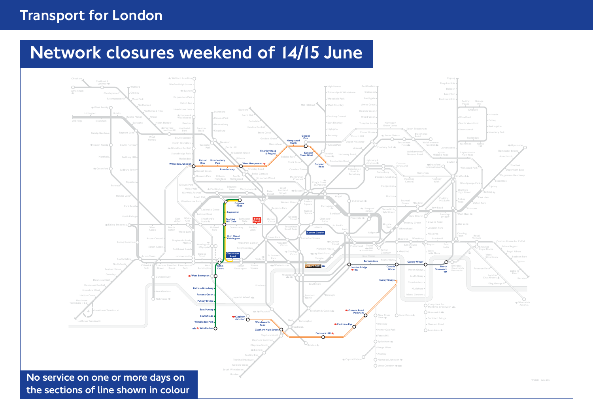## Transport for London

# Network closures weekend of 14/15 June

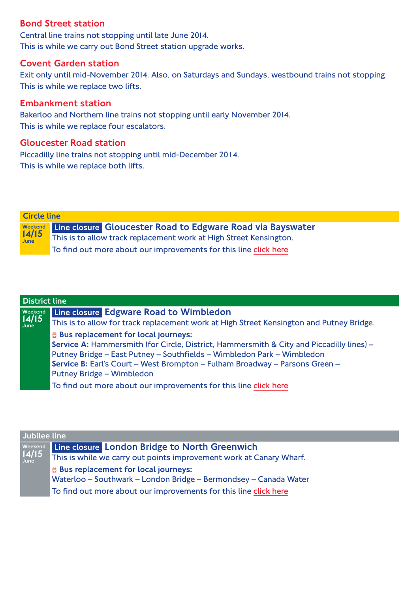#### Bond Street station

Central line trains not stopping until late June 2014. This is while we carry out Bond Street station upgrade works.

#### Covent Garden station

Exit only until mid-November 2014. Also, on Saturdays and Sundays, westbound trains not stopping. This is while we replace two lifts.

#### Embankment station

Bakerloo and Northern line trains not stopping until early November 2014. This is while we replace four escalators.

#### Gloucester Road station

Piccadilly line trains not stopping until mid-December 2014. This is while we replace both lifts.

Weekend 14/15 **June** Circle line Line closure Gloucester Road to Edgware Road via Bayswater This is to allow track replacement work at High Street Kensington. To find out more about our improvements for this line [click here](http://www.beta.tfl.gov.uk/travel-information/improvements-and-projects/tube-improvement/circle)

| <b>District line</b> |                                                                                          |  |
|----------------------|------------------------------------------------------------------------------------------|--|
| Weekend              | Line closure Edgware Road to Wimbledon                                                   |  |
| 14/15<br>June        | This is to allow for track replacement work at High Street Kensington and Putney Bridge. |  |
|                      | <b>E</b> Bus replacement for local journeys:                                             |  |
|                      | Service A: Hammersmith (for Circle, District, Hammersmith & City and Piccadilly lines) - |  |
|                      | Putney Bridge - East Putney - Southfields - Wimbledon Park - Wimbledon                   |  |
|                      | Service B: Earl's Court – West Brompton – Fulham Broadway – Parsons Green –              |  |
|                      | Putney Bridge - Wimbledon                                                                |  |
|                      | To find out more about our improvements for this line click here                         |  |

| Jubilee line |                                                                                                                                                                                                |  |
|--------------|------------------------------------------------------------------------------------------------------------------------------------------------------------------------------------------------|--|
|              | Weekend Line closure London Bridge to North Greenwich<br>14/15 This is while we carry out points improvement work at Ca<br>This is while we carry out points improvement work at Canary Wharf. |  |
|              | <b>E</b> Bus replacement for local journeys:<br>Waterloo - Southwark - London Bridge - Bermondsey - Canada Water                                                                               |  |
|              | To find out more about our improvements for this line click here                                                                                                                               |  |